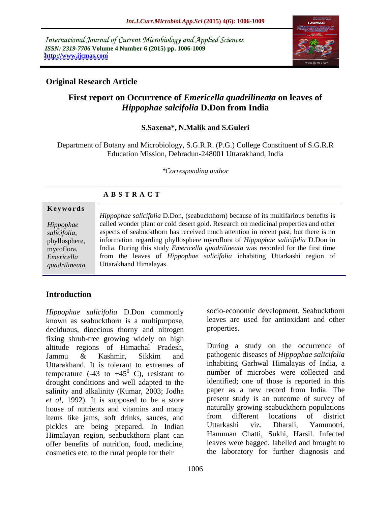International Journal of Current Microbiology and Applied Sciences *ISSN: 2319-7706* **Volume 4 Number 6 (2015) pp. 1006-1009 <http://www.ijcmas.com>**



## **Original Research Article**

# **First report on Occurrence of** *Emericella quadrilineata* **on leaves of**  *Hippophae salcifolia* **D.Don from India**

### **S.Saxena\*, N.Malik and S.Guleri**

Department of Botany and Microbiology, S.G.R.R. (P.G.) College Constituent of S.G.R.R Education Mission, Dehradun-248001 Uttarakhand, India

*\*Corresponding author*

|               | <b>ABSTRACT</b>                                                                            |
|---------------|--------------------------------------------------------------------------------------------|
| Keywords      |                                                                                            |
|               | <i>Hippophae salicifolia</i> D.Don, (seabuckthorn) because of its multifarious benefits is |
| Hippophae     | called wonder plant or cold desert gold. Research on medicinal properties and other        |
| salicifolia,  | aspects of seabuckthorn has received much attention in recent past, but there is no        |
| phyllosphere, | information regarding phyllosphere mycoflora of Hippophae salicifolia D.Don in             |
| mycoflora,    | India. During this study <i>Emericella quadrilineata</i> was recorded for the first time   |

India. During this study *Emericella quadrilineata* was recorded for the first time from the leaves of *Hippophae salicifolia* inhabiting Uttarkashi region of Uttarakhand Himalayas. *Emericella* 

## **Introduction**

*quadrilineata*

*Hippophae salicifolia* D.Don commonly known as seabuckthorn is a multipurpose, deciduous, dioecious thorny and nitrogen properties. fixing shrub-tree growing widely on high altitude regions of Himachal Pradesh, Uttarakhand. It is tolerant to extremes of temperature (-43 to +45<sup>0</sup> C), resistant to drought conditions and well adapted to the salinity and alkalinity (Kumar, 2003; Jodha *et al,* 1992). It is supposed to be a store house of nutrients and vitamins and many haturally growing seabuckthorn populations<br>items like jams, soft drinks, sauces, and from different locations of district items like jams, soft drinks, sauces, and from different locations of district<br>pickles are being prepared In Indian Uttarkashi viz. Dharali, Yamunotri, pickles are being prepared. In Indian Himalayan region, seabuckthorn plant can offer benefits of nutrition, food, medicine, cosmetics etc. to the rural people for their

socio-economic development. Seabuckthorn leaves are used for antioxidant and other properties.

Jammu & Kashmir, Sikkim and pathogenic diseases of *Hippophae salicifolia*  $^{0}$  C), resistant to number of microbes were collected and During a study on the occurrence of pathogenic diseases of *Hippophae salicifolia* inhabiting Garhwal Himalayas of India, a identified; one of those is reported in this paper as a new record from India. The present study is an outcome of survey of naturally growing seabuckthorn populations from different locations of district Uttarkashi viz. Dharali, Yamunotri, Hanuman Chatti, Sukhi, Harsil. Infected leaves were bagged, labelled and brought to the laboratory for further diagnosis and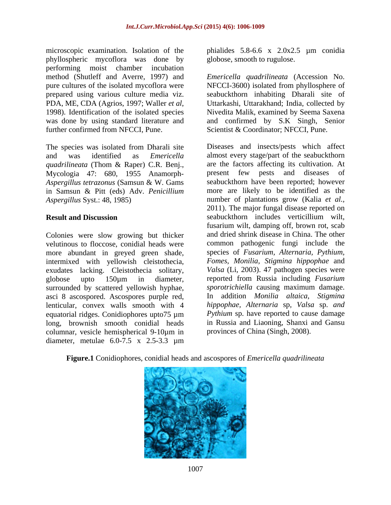microscopic examination. Isolation of the phialides 5.8-6.6 x 2.0x2.5 µm conidia phyllospheric mycoflora was done by performing moist chamber incubation further confirmed from NFCCI, Pune. Scientist & Coordinator; NFCCI, Pune.

The species was isolated from Dharali site *quadrilineata* (Thom & Raper) C.R. Benj., Mycologia 47: 680, 1955 Anamorph-

Colonies were slow growing but thicker more abundant in greyed green shade, intermixed with yellowish cleistothecia, exudates lacking. Cleistothecia solitary, surrounded by scattered yellowish hyphae, asci 8 ascospored. Ascospores purple red, equatorial ridges. Conidiophores upto75 µm long, brownish smooth conidial heads columnar, vesicle hemispherical 9-10µm in diameter, metulae 6.0-7.5 x 2.5-3.3 µm globose, smooth to rugulose.

method (Shutleff and Averre, 1997) and *Emericella quadrilineata* (Accession No. pure cultures of the isolated mycoflora were NFCCI-3600) isolated from phyllosphere of prepared using various culture media viz. Seabuckthorn inhabiting Dharali site of PDA, ME, CDA (Agrios, 1997; Waller *et al*, Uttarkashi, Uttarakhand; India, collected by<br>1998). Identification of the isolated species Nivedita Malik, examined by Seema Saxena was done by using standard literature and and confirmed by S.K Singh, Senior Uttarkashi, Uttarakhand; India, collected by Nivedita Malik, examined by Seema Saxena

and was identified as *Emericella*  almost every stage/part of the seabuckthorn *Aspergillus tetrazonus* (Samsun & W. Gams seabuckthorn have been reported; however in Samsun & Pitt (eds) Adv. *Penicillium*  more are likely to be identified as the *Aspergillus* Syst.: 48, 1985) number of plantations grow (Kalia *et al.,* **Result and Discussion Seabuckthorn** includes verticillium wilt, velutinous to floccose, conidial heads were common pathogenic fungi include the globose upto 150µm in diameter, reported from Russia including *Fusarium*  lenticular, convex walls smooth with 4 *hippophae, Alternaria* sp*, Valsa* sp. *and* Diseases and insects/pests which affect are the factors affecting its cultivation. At present few pests and diseases 2011). The major fungal disease reported on seabuckthorn includes verticillium wilt, fusarium wilt, damping off, brown rot, scab and dried shrink disease in China. The other species of *Fusarium, Alternaria, Pythium, Fomes*, *Monilia, Stigmina hippophae* and *Valsa* (Li, 2003). 47 pathogen species were *sporotrichiella* causing maximum damage. In addition *Monilia altaica*, *Stigmina Pythium* sp. have reported to cause damage in Russia and Liaoning, Shanxi and Gansu provinces of China (Singh, 2008).

**Figure.1** Conidiophores, conidial heads and ascospores of *Emericella quadrilineata*

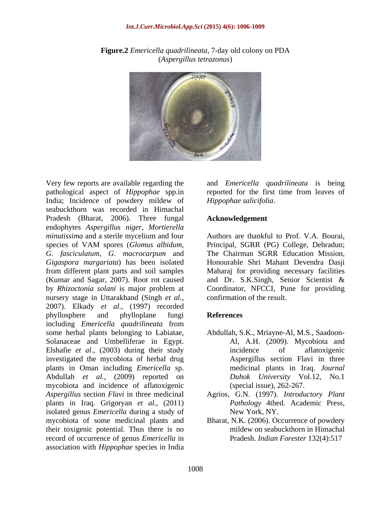

**Figure.2** *Emericella quadrilineata*, 7-day old colony on PDA (*Aspergillus tetrazonus*)

pathological aspect of *Hippophae* spp.in India; Incidence of powdery mildew of seabuckthorn was recorded in Himachal Pradesh (Bharat, 2006). Three fungal endophytes *Aspergillus niger*, *Mortierella minutissima* and a sterile mycelium and four species of VAM spores (*Glomus albidum*, species of VAM spores (*Glomus albidum*, Principal, SGRR (PG) College, Dehradun; *G. fasciculatum*, *G. macrocarpum* and *Gigaspora margariata*) has been isolated Honourable Shri Mahant Devendra Dasji from different plant parts and soil samples Maharaj for providing necessary facilities (Kumar and Sagar, 2007). Root rot caused and Dr. S.K.Singh, Senior Scientist & by *Rhizoctonia solani* is major problem at Coordinator, NFCCI, Pune for providing nursery stage in Uttarakhand (Singh *et al.,* 2007). Elkady *et al*., (1997) recorded phyllosphere and phylloplane fungi **References** including *Emericella quadrilineata* from some herbal plants belonging to Labiatae, Abdullah, S.K., Mriayne-Al, M.S., Saadoon-Solanaceae and Umbelliferae in Egypt. Elshafie *et al*., (2003) during their study investigated the mycobiota of herbal drug plants in Oman including *Emericella* sp. Abdullah *et al.,* (2009) reported on mycobiota and incidence of aflatoxigenic *Aspergillus* section *Flavi* in three medicinal Agrios, G.N. (1997). *Introductory Plant*  plants in Iraq. Grigoryan *et al.,* (2011) isolated genus *Emericella* during a study of mycobiota of some medicinal plants and Bharat, N.K. (2006). Occurrence of powdery their toxigenic potential. Thus there is no record of occurrence of genus *Emericella* in association with *Hippophae* species in India

Very few reports are available regarding the and *Emericella quadrilineata* is being reported for the first time from leaves of *Hippophae salicifolia*.

#### **Acknowledgement**

Authors are thankful to Prof. V.A. Bourai, The Chairman SGRR Education Mission, confirmation of the result.

#### **References**

- Al, A.H. (2009). Mycobiota and incidence of aflatoxigenic Aspergillus section Flavi in three medicinal plants in Iraq. *Journal Duhok University* Vol.12, No.1 (special issue), 262-267.
- *Pathology* 4thed. Academic Press, New York, NY.
- mildew on seabuckthorn in Himachal Pradesh. *Indian Forester* 132(4):517